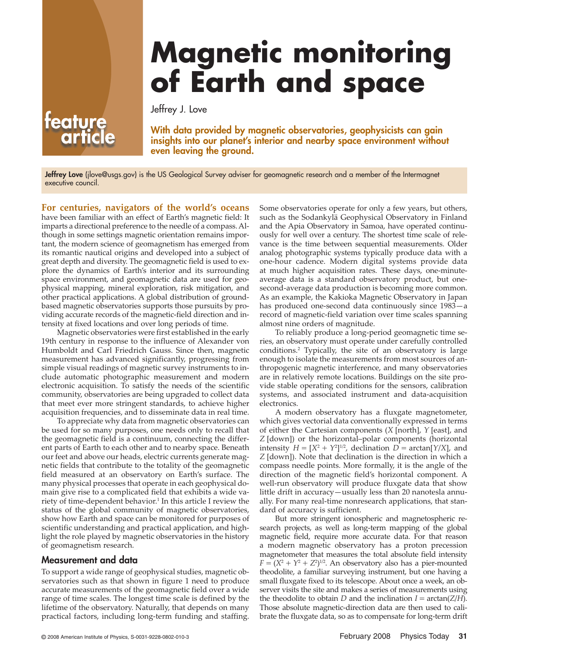# **Magnetic monitoring of Earth and space**

Jeffrey J. Love

With data provided by magnetic observatories, geophysicists can gain insights into our planet's interior and nearby space environment without even leaving the ground.

Jeffrey Love (jlove@usgs.gov) is the US Geological Survey adviser for geomagnetic research and a member of the Intermagnet executive council.

**For centuries, navigators of the world's oceans** have been familiar with an effect of Earth's magnetic field: It imparts a directional preference to the needle of a compass. Although in some settings magnetic orientation remains important, the modern science of geomagnetism has emerged from its romantic nautical origins and developed into a subject of great depth and diversity. The geomagnetic field is used to explore the dynamics of Earth's interior and its surrounding space environment, and geomagnetic data are used for geophysical mapping, mineral exploration, risk mitigation, and other practical applications. A global distribution of groundbased magnetic observatories supports those pursuits by providing accurate records of the magnetic-field direction and intensity at fixed locations and over long periods of time.

Magnetic observatories were first established in the early 19th century in response to the influence of Alexander von Humboldt and Carl Friedrich Gauss. Since then, magnetic measurement has advanced significantly, progressing from simple visual readings of magnetic survey instruments to include automatic photographic measurement and modern electronic acquisition. To satisfy the needs of the scientific community, observatories are being upgraded to collect data that meet ever more stringent standards, to achieve higher acquisition frequencies, and to disseminate data in real time.

To appreciate why data from magnetic observatories can be used for so many purposes, one needs only to recall that the geomagnetic field is a continuum, connecting the different parts of Earth to each other and to nearby space. Beneath our feet and above our heads, electric currents generate magnetic fields that contribute to the totality of the geomagnetic field measured at an observatory on Earth's surface. The many physical processes that operate in each geophysical domain give rise to a complicated field that exhibits a wide variety of time-dependent behavior.<sup>1</sup> In this article I review the status of the global community of magnetic observatories, show how Earth and space can be monitored for purposes of scientific understanding and practical application, and highlight the role played by magnetic observatories in the history of geomagnetism research.

#### Measurement and data

To support a wide range of geophysical studies, magnetic observatories such as that shown in figure 1 need to produce accurate measurements of the geomagnetic field over a wide range of time scales. The longest time scale is defined by the lifetime of the observatory. Naturally, that depends on many practical factors, including long-term funding and staffing.

Some observatories operate for only a few years, but others, such as the Sodankylä Geophysical Observatory in Finland and the Apia Observatory in Samoa, have operated continuously for well over a century. The shortest time scale of relevance is the time between sequential measurements. Older analog photographic systems typically produce data with a one-hour cadence. Modern digital systems provide data at much higher acquisition rates. These days, one-minuteaverage data is a standard observatory product, but onesecond-average data production is becoming more common. As an example, the Kakioka Magnetic Observatory in Japan has produced one-second data continuously since 1983—a record of magnetic-field variation over time scales spanning almost nine orders of magnitude.

To reliably produce a long-period geomagnetic time series, an observatory must operate under carefully controlled conditions.2 Typically, the site of an observatory is large enough to isolate the measurements from most sources of anthropogenic magnetic interference, and many observatories are in relatively remote locations. Buildings on the site provide stable operating conditions for the sensors, calibration systems, and associated instrument and data-acquisition electronics.

A modern observatory has a fluxgate magnetometer, which gives vectorial data conventionally expressed in terms of either the Cartesian components (*X* [north], *Y* [east], and *Z* [down]) or the horizontal–polar components (horizontal intensity  $H = [X^2 + Y^2]^{1/2}$ , declination  $D = \arctan[Y/X]$ , and *Z* [down]). Note that declination is the direction in which a compass needle points. More formally, it is the angle of the direction of the magnetic field's horizontal component. A well-run observatory will produce fluxgate data that show little drift in accuracy—usually less than 20 nanotesla annually. For many real-time nonresearch applications, that standard of accuracy is sufficient.

But more stringent ionospheric and magnetospheric research projects, as well as long-term mapping of the global magnetic field, require more accurate data. For that reason a modern magnetic observatory has a proton precession magnetometer that measures the total absolute field intensity  $F = (X^2 + Y^2 + Z^2)^{1/2}$ . An observatory also has a pier-mounted theodolite, a familiar surveying instrument, but one having a small fluxgate fixed to its telescope. About once a week, an observer visits the site and makes a series of measurements using the theodolite to obtain *D* and the inclination  $I = \arctan(Z/H)$ . Those absolute magnetic-direction data are then used to calibrate the fluxgate data, so as to compensate for long-term drift

# teature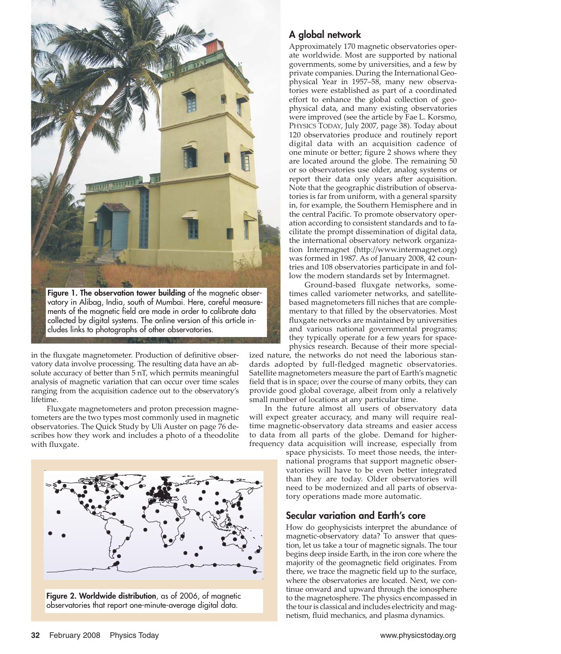

in the fluxgate magnetometer. Production of definitive observatory data involve processing. The resulting data have an absolute accuracy of better than 5 nT, which permits meaningful analysis of magnetic variation that can occur over time scales ranging from the acquisition cadence out to the observatory's lifetime.

Fluxgate magnetometers and proton precession magnetometers are the two types most commonly used in magnetic observatories. The Quick Study by Uli Auster on page 76 describes how they work and includes a photo of a theodolite with fluxgate.



Figure 2. Worldwide distribution, as of 2006, of magnetic observatories that report one-minute-average digital data.

# A global network

Approximately 170 magnetic observatories operate worldwide. Most are supported by national governments, some by universities, and a few by private companies. During the International Geophysical Year in 1957–58, many new observatories were established as part of a coordinated effort to enhance the global collection of geophysical data, and many existing observatories were improved (see the article by Fae L. Korsmo, PHYSICS TODAY, July 2007, page 38). Today about 120 observatories produce and routinely report digital data with an acquisition cadence of one minute or better; figure 2 shows where they are located around the globe. The remaining 50 or so observatories use older, analog systems or report their data only years after acquisition. Note that the geographic distribution of observatories is far from uniform, with a general sparsity in, for example, the Southern Hemisphere and in the central Pacific. To promote observatory operation according to consistent standards and to facilitate the prompt dissemination of digital data, the international observatory network organization Intermagnet (http://www.intermagnet.org) was formed in 1987. As of January 2008, 42 countries and 108 observatories participate in and follow the modern standards set by Intermagnet.

Ground-based fluxgate networks, sometimes called variometer networks, and satellitebased magnetometers fill niches that are complementary to that filled by the observatories. Most fluxgate networks are maintained by universities and various national governmental programs; they typically operate for a few years for spacephysics research. Because of their more special-

ized nature, the networks do not need the laborious standards adopted by full-fledged magnetic observatories. Satellite magnetometers measure the part of Earth's magnetic field that is in space; over the course of many orbits, they can provide good global coverage, albeit from only a relatively small number of locations at any particular time.

In the future almost all users of observatory data will expect greater accuracy, and many will require realtime magnetic-observatory data streams and easier access to data from all parts of the globe. Demand for higherfrequency data acquisition will increase, especially from

space physicists. To meet those needs, the international programs that support magnetic observatories will have to be even better integrated than they are today. Older observatories will need to be modernized and all parts of observatory operations made more automatic.

# Secular variation and Earth's core

How do geophysicists interpret the abundance of magnetic-observatory data? To answer that question, let us take a tour of magnetic signals. The tour begins deep inside Earth, in the iron core where the majority of the geomagnetic field originates. From there, we trace the magnetic field up to the surface, where the observatories are located. Next, we continue onward and upward through the ionosphere to the magnetosphere. The physics encompassed in the tour is classical and includes electricity and magnetism, fluid mechanics, and plasma dynamics.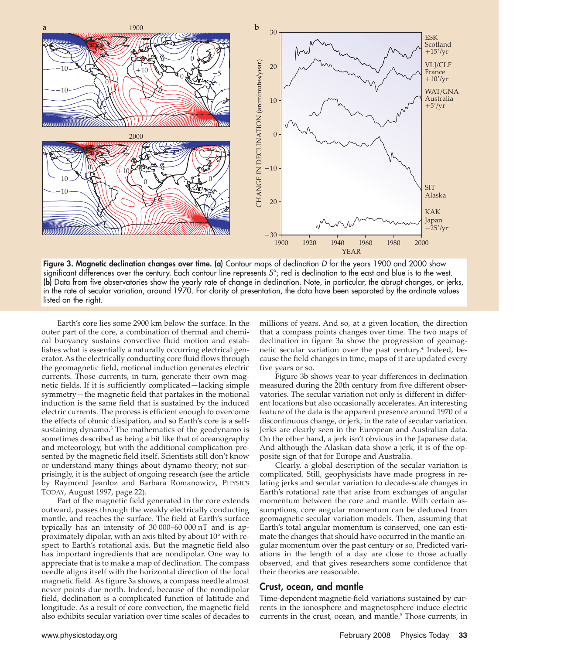

Figure 3. Magnetic declination changes over time. (a) Contour maps of declination D for the years 1900 and 2000 show significant differences over the century. Each contour line represents 5°; red is declination to the east and blue is to the west. (b) Data from five observatories show the yearly rate of change in declination. Note, in particular, the abrupt changes, or jerks, in the rate of secular variation, around 1970. For clarity of presentation, the data have been separated by the ordinate values listed on the right.

Earth's core lies some 2900 km below the surface. In the outer part of the core, a combination of thermal and chemical buoyancy sustains convective fluid motion and establishes what is essentially a naturally occurring electrical generator. As the electrically conducting core fluid flows through the geomagnetic field, motional induction generates electric currents. Those currents, in turn, generate their own magnetic fields. If it is sufficiently complicated—lacking simple symmetry—the magnetic field that partakes in the motional induction is the same field that is sustained by the induced electric currents. The process is efficient enough to overcome the effects of ohmic dissipation, and so Earth's core is a selfsustaining dynamo.<sup>3</sup> The mathematics of the geodynamo is sometimes described as being a bit like that of oceanography and meteorology, but with the additional complication presented by the magnetic field itself. Scientists still don't know or understand many things about dynamo theory; not surprisingly, it is the subject of ongoing research (see the article by Raymond Jeanloz and Barbara Romanowicz, PHYSICS TODAY, August 1997, page 22).

Part of the magnetic field generated in the core extends outward, passes through the weakly electrically conducting mantle, and reaches the surface. The field at Earth's surface typically has an intensity of 30 000–60 000 nT and is approximately dipolar, with an axis tilted by about 10° with respect to Earth's rotational axis. But the magnetic field also has important ingredients that are nondipolar. One way to appreciate that is to make a map of declination. The compass needle aligns itself with the horizontal direction of the local magnetic field. As figure 3a shows, a compass needle almost never points due north. Indeed, because of the nondipolar field, declination is a complicated function of latitude and longitude. As a result of core convection, the magnetic field also exhibits secular variation over time scales of decades to

millions of years. And so, at a given location, the direction that a compass points changes over time. The two maps of declination in figure 3a show the progression of geomagnetic secular variation over the past century.<sup>4</sup> Indeed, because the field changes in time, maps of it are updated every five years or so.

Figure 3b shows year-to-year differences in declination measured during the 20th century from five different observatories. The secular variation not only is different in different locations but also occasionally accelerates. An interesting feature of the data is the apparent presence around 1970 of a discontinuous change, or jerk, in the rate of secular variation. Jerks are clearly seen in the European and Australian data. On the other hand, a jerk isn't obvious in the Japanese data. And although the Alaskan data show a jerk, it is of the opposite sign of that for Europe and Australia.

Clearly, a global description of the secular variation is complicated. Still, geophysicists have made progress in relating jerks and secular variation to decade-scale changes in Earth's rotational rate that arise from exchanges of angular momentum between the core and mantle. With certain assumptions, core angular momentum can be deduced from geomagnetic secular variation models. Then, assuming that Earth's total angular momentum is conserved, one can estimate the changes that should have occurred in the mantle angular momentum over the past century or so. Predicted variations in the length of a day are close to those actually observed, and that gives researchers some confidence that their theories are reasonable.

#### Crust, ocean, and mantle

Time-dependent magnetic-field variations sustained by currents in the ionosphere and magnetosphere induce electric currents in the crust, ocean, and mantle.<sup>5</sup> Those currents, in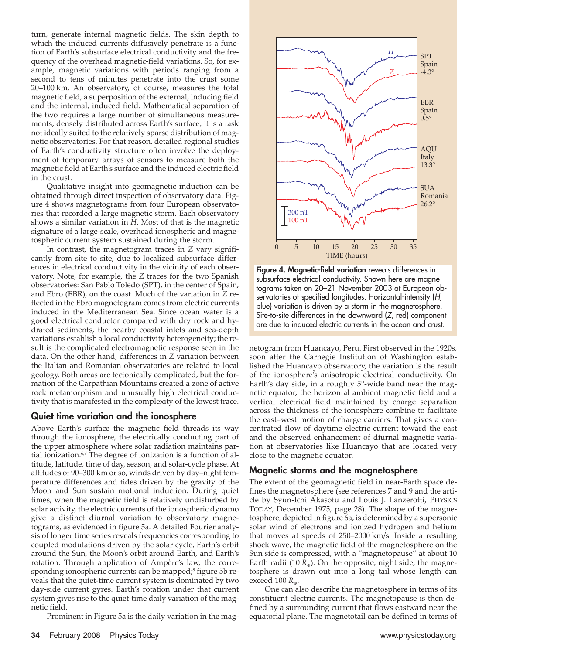turn, generate internal magnetic fields. The skin depth to which the induced currents diffusively penetrate is a function of Earth's subsurface electrical conductivity and the frequency of the overhead magnetic-field variations. So, for example, magnetic variations with periods ranging from a second to tens of minutes penetrate into the crust some 20–100 km. An observatory, of course, measures the total magnetic field, a superposition of the external, inducing field and the internal, induced field. Mathematical separation of the two requires a large number of simultaneous measurements, densely distributed across Earth's surface; it is a task not ideally suited to the relatively sparse distribution of magnetic observatories. For that reason, detailed regional studies of Earth's conductivity structure often involve the deployment of temporary arrays of sensors to measure both the magnetic field at Earth's surface and the induced electric field in the crust.

Qualitative insight into geomagnetic induction can be obtained through direct inspection of observatory data. Figure 4 shows magnetograms from four European observatories that recorded a large magnetic storm. Each observatory shows a similar variation in *H*. Most of that is the magnetic signature of a large-scale, overhead ionospheric and magnetospheric current system sustained during the storm.

In contrast, the magnetogram traces in *Z* vary significantly from site to site, due to localized subsurface differences in electrical conductivity in the vicinity of each observatory. Note, for example, the *Z* traces for the two Spanish observatories: San Pablo Toledo (SPT), in the center of Spain, and Ebro (EBR), on the coast. Much of the variation in *Z* reflected in the Ebro magnetogram comes from electric currents induced in the Mediterranean Sea. Since ocean water is a good electrical conductor compared with dry rock and hydrated sediments, the nearby coastal inlets and sea-depth variations establish a local conductivity heterogeneity; the result is the complicated electromagnetic response seen in the data. On the other hand, differences in *Z* variation between the Italian and Romanian observatories are related to local geology. Both areas are tectonically complicated, but the formation of the Carpathian Mountains created a zone of active rock metamorphism and unusually high electrical conductivity that is manifested in the complexity of the lowest trace.

#### Quiet time variation and the ionosphere

Above Earth's surface the magnetic field threads its way through the ionosphere, the electrically conducting part of the upper atmosphere where solar radiation maintains partial ionization.<sup>6,7</sup> The degree of ionization is a function of altitude, latitude, time of day, season, and solar-cycle phase. At altitudes of 90–300 km or so, winds driven by day–night temperature differences and tides driven by the gravity of the Moon and Sun sustain motional induction. During quiet times, when the magnetic field is relatively undisturbed by solar activity, the electric currents of the ionospheric dynamo give a distinct diurnal variation to observatory magnetograms, as evidenced in figure 5a. A detailed Fourier analysis of longer time series reveals frequencies corresponding to coupled modulations driven by the solar cycle, Earth's orbit around the Sun, the Moon's orbit around Earth, and Earth's rotation. Through application of Ampère's law, the corresponding ionospheric currents can be mapped;<sup>8</sup> figure 5b reveals that the quiet-time current system is dominated by two day-side current gyres. Earth's rotation under that current system gives rise to the quiet-time daily variation of the magnetic field.

Prominent in Figure 5a is the daily variation in the mag-



Figure 4. Magnetic-field variation reveals differences in subsurface electrical conductivity. Shown here are magnetograms taken on 20–21 November 2003 at European observatories of specified longitudes. Horizontal-intensity (H, blue) variation is driven by a storm in the magnetosphere. Site-to-site differences in the downward (Z, red) component are due to induced electric currents in the ocean and crust.

netogram from Huancayo, Peru. First observed in the 1920s, soon after the Carnegie Institution of Washington established the Huancayo observatory, the variation is the result of the ionosphere's anisotropic electrical conductivity. On Earth's day side, in a roughly 5°-wide band near the magnetic equator, the horizontal ambient magnetic field and a vertical electrical field maintained by charge separation across the thickness of the ionosphere combine to facilitate the east–west motion of charge carriers. That gives a concentrated flow of daytime electric current toward the east and the observed enhancement of diurnal magnetic variation at observatories like Huancayo that are located very close to the magnetic equator.

#### Magnetic storms and the magnetosphere

The extent of the geomagnetic field in near-Earth space defines the magnetosphere (see references 7 and 9 and the article by Syun-Ichi Akasofu and Louis J. Lanzerotti, PHYSICS TODAY, December 1975, page 28). The shape of the magnetosphere, depicted in figure 6a, is determined by a supersonic solar wind of electrons and ionized hydrogen and helium that moves at speeds of 250–2000 km/s. Inside a resulting shock wave, the magnetic field of the magnetosphere on the Sun side is compressed, with a "magnetopause" at about 10 Earth radii (10  $R_{\phi}$ ). On the opposite, night side, the magnetosphere is drawn out into a long tail whose length can exceed 100 *R*⊕.

One can also describe the magnetosphere in terms of its constituent electric currents. The magnetopause is then defined by a surrounding current that flows eastward near the equatorial plane. The magnetotail can be defined in terms of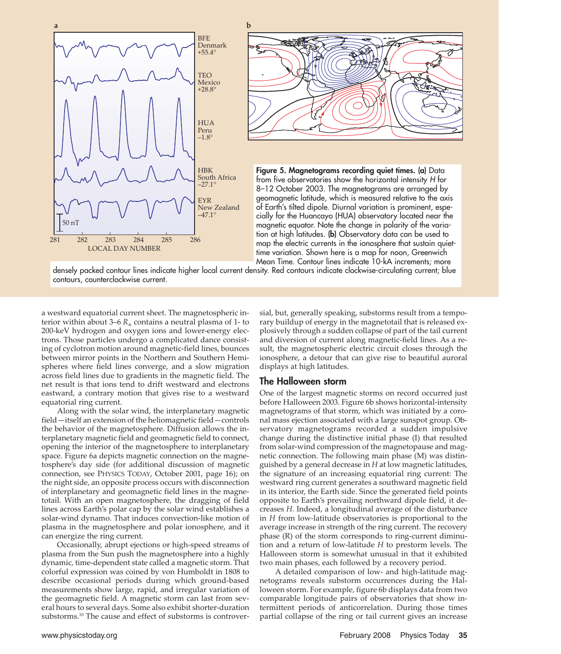



Figure 5. Magnetograms recording quiet times. (a) Data from five observatories show the horizontal intensity H for 8–12 October 2003. The magnetograms are arranged by geomagnetic latitude, which is measured relative to the axis of Earth's tilted dipole. Diurnal variation is prominent, especially for the Huancayo (HUA) observatory located near the magnetic equator. Note the change in polarity of the variation at high latitudes. (b) Observatory data can be used to map the electric currents in the ionosphere that sustain quiettime variation. Shown here is a map for noon, Greenwich Mean Time. Contour lines indicate 10-kA increments; more

densely packed contour lines indicate higher local current density. Red contours indicate clockwise-circulating current; blue contours, counterclockwise current.

a westward equatorial current sheet. The magnetospheric interior within about 3–6  $R_{\scriptscriptstyle\rm g}$  contains a neutral plasma of 1- to 200-keV hydrogen and oxygen ions and lower-energy electrons. Those particles undergo a complicated dance consisting of cyclotron motion around magnetic-field lines, bounces between mirror points in the Northern and Southern Hemispheres where field lines converge, and a slow migration across field lines due to gradients in the magnetic field. The net result is that ions tend to drift westward and electrons eastward, a contrary motion that gives rise to a westward equatorial ring current.

Along with the solar wind, the interplanetary magnetic field—itself an extension of the heliomagnetic field—controls the behavior of the magnetosphere. Diffusion allows the interplanetary magnetic field and geomagnetic field to connect, opening the interior of the magnetosphere to interplanetary space. Figure 6a depicts magnetic connection on the magnetosphere's day side (for additional discussion of magnetic connection, see PHYSICS TODAY, October 2001, page 16); on the night side, an opposite process occurs with disconnection of interplanetary and geomagnetic field lines in the magnetotail. With an open magnetosphere, the dragging of field lines across Earth's polar cap by the solar wind establishes a solar-wind dynamo. That induces convection-like motion of plasma in the magnetosphere and polar ionosphere, and it can energize the ring current.

Occasionally, abrupt ejections or high-speed streams of plasma from the Sun push the magnetosphere into a highly dynamic, time-dependent state called a magnetic storm. That colorful expression was coined by von Humboldt in 1808 to describe occasional periods during which ground-based measurements show large, rapid, and irregular variation of the geomagnetic field. A magnetic storm can last from several hours to several days. Some also exhibit shorter-duration substorms.<sup>10</sup> The cause and effect of substorms is controversial, but, generally speaking, substorms result from a temporary buildup of energy in the magnetotail that is released explosively through a sudden collapse of part of the tail current and diversion of current along magnetic-field lines. As a result, the magnetospheric electric circuit closes through the ionosphere, a detour that can give rise to beautiful auroral displays at high latitudes.

#### The Halloween storm

One of the largest magnetic storms on record occurred just before Halloween 2003. Figure 6b shows horizontal-intensity magnetograms of that storm, which was initiated by a coronal mass ejection associated with a large sunspot group. Observatory magnetograms recorded a sudden impulsive change during the distinctive initial phase (I) that resulted from solar-wind compression of the magnetopause and magnetic connection. The following main phase (M) was distinguished by a general decrease in *H* at low magnetic latitudes, the signature of an increasing equatorial ring current: The westward ring current generates a southward magnetic field in its interior, the Earth side. Since the generated field points opposite to Earth's prevailing northward dipole field, it decreases *H*. Indeed, a longitudinal average of the disturbance in *H* from low-latitude observatories is proportional to the average increase in strength of the ring current. The recovery phase (R) of the storm corresponds to ring-current diminution and a return of low-latitude *H* to prestorm levels. The Halloween storm is somewhat unusual in that it exhibited two main phases, each followed by a recovery period.

A detailed comparison of low- and high-latitude magnetograms reveals substorm occurrences during the Halloween storm. For example, figure 6b displays data from two comparable longitude pairs of observatories that show intermittent periods of anticorrelation. During those times partial collapse of the ring or tail current gives an increase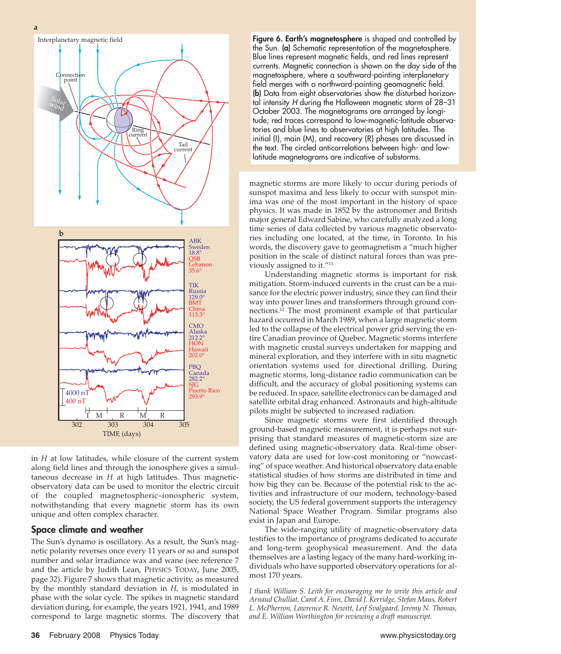

in *H* at low latitudes, while closure of the current system along field lines and through the ionosphere gives a simultaneous decrease in *H* at high latitudes. Thus magneticobservatory data can be used to monitor the electric circuit of the coupled magnetospheric–ionospheric system, notwithstanding that every magnetic storm has its own unique and often complex character.

#### Space climate and weather

The Sun's dynamo is oscillatory. As a result, the Sun's magnetic polarity reverses once every 11 years or so and sunspot number and solar irradiance wax and wane (see reference 7 and the article by Judith Lean, PHYSICS TODAY, June 2005, page 32). Figure 7 shows that magnetic activity, as measured by the monthly standard deviation in *H*, is modulated in phase with the solar cycle. The spikes in magnetic standard deviation during, for example, the years 1921, 1941, and 1989 correspond to large magnetic storms. The discovery that Figure 6. Earth's magnetosphere is shaped and controlled by the Sun. (a) Schematic representation of the magnetosphere. Blue lines represent magnetic fields, and red lines represent currents. Magnetic connection is shown on the day side of the magnetosphere, where a southward-pointing interplanetary field merges with a northward-pointing geomagnetic field. (b) Data from eight observatories show the disturbed horizontal intensity H during the Halloween magnetic storm of 28–31 October 2003. The magnetograms are arranged by longitude; red traces correspond to low-magnetic-latitude observatories and blue lines to observatories at high latitudes. The initial (I), main (M), and recovery (R) phases are discussed in the text. The circled anticorrelations between high- and lowlatitude magnetograms are indicative of substorms.

magnetic storms are more likely to occur during periods of sunspot maxima and less likely to occur with sunspot minima was one of the most important in the history of space physics. It was made in 1852 by the astronomer and British major general Edward Sabine, who carefully analyzed a long time series of data collected by various magnetic observatories including one located, at the time, in Toronto. In his words, the discovery gave to geomagnetism a "much higher position in the scale of distinct natural forces than was previously assigned to it."11

Understanding magnetic storms is important for risk mitigation. Storm-induced currents in the crust can be a nuisance for the electric power industry, since they can find their way into power lines and transformers through ground connections.12 The most prominent example of that particular hazard occurred in March 1989, when a large magnetic storm led to the collapse of the electrical power grid serving the entire Canadian province of Quebec. Magnetic storms interfere with magnetic crustal surveys undertaken for mapping and mineral exploration, and they interfere with in situ magnetic orientation systems used for directional drilling. During magnetic storms, long-distance radio communication can be difficult, and the accuracy of global positioning systems can be reduced. In space, satellite electronics can be damaged and satellite orbital drag enhanced. Astronauts and high-altitude pilots might be subjected to increased radiation.

Since magnetic storms were first identified through ground-based magnetic measurement, it is perhaps not surprising that standard measures of magnetic-storm size are defined using magnetic-observatory data. Real-time observatory data are used for low-cost monitoring or "nowcasting" of space weather. And historical observatory data enable statistical studies of how storms are distributed in time and how big they can be. Because of the potential risk to the activities and infrastructure of our modern, technology-based society, the US federal government supports the interagency National Space Weather Program. Similar programs also exist in Japan and Europe.

The wide-ranging utility of magnetic-observatory data testifies to the importance of programs dedicated to accurate and long-term geophysical measurement. And the data themselves are a lasting legacy of the many hard-working individuals who have supported observatory operations for almost 170 years.

*I thank William S. Leith for encouraging me to write this article and Arnaud Chulliat, Carol A. Finn, David J. Kerridge, Stefan Maus, Robert L. McPherron, Lawrence R. Newitt, Leif Svalgaard, Jeremy N. Thomas, and E. William Worthington for reviewing a draft manuscript.*